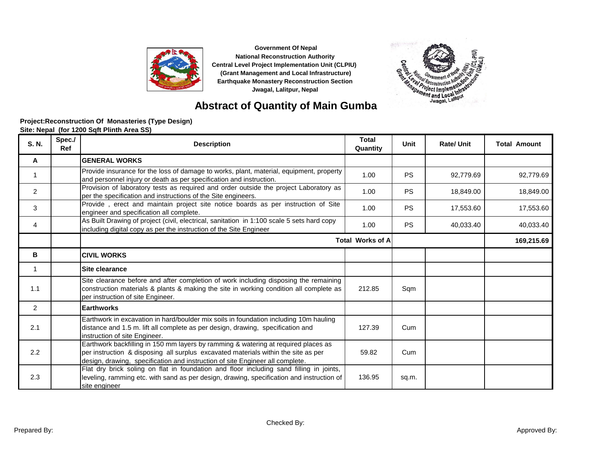



### **Abstract of Quantity of Main Gumba**

#### **Site: Nepal (for 1200 Sqft Plinth Area SS) Project:Reconstruction Of Monasteries (Type Design)**

| S. N.          | Spec./<br>Ref | <b>Description</b>                                                                                                                                                                                                                                        | <b>Total</b><br>Quantity | Unit      | <b>Rate/Unit</b> | <b>Total Amount</b> |
|----------------|---------------|-----------------------------------------------------------------------------------------------------------------------------------------------------------------------------------------------------------------------------------------------------------|--------------------------|-----------|------------------|---------------------|
| A              |               | <b>GENERAL WORKS</b>                                                                                                                                                                                                                                      |                          |           |                  |                     |
| 1              |               | Provide insurance for the loss of damage to works, plant, material, equipment, property<br>and personnel injury or death as per specification and instruction.                                                                                            | 1.00                     | <b>PS</b> | 92,779.69        | 92,779.69           |
| $\overline{2}$ |               | Provision of laboratory tests as required and order outside the project Laboratory as<br>per the specification and instructions of the Site engineers.                                                                                                    | 1.00                     | <b>PS</b> | 18,849.00        | 18,849.00           |
| 3              |               | Provide, erect and maintain project site notice boards as per instruction of Site<br>engineer and specification all complete.                                                                                                                             | 1.00                     | <b>PS</b> | 17,553.60        | 17,553.60           |
| 4              |               | As Built Drawing of project (civil, electrical, sanitation in 1:100 scale 5 sets hard copy<br>including digital copy as per the instruction of the Site Engineer                                                                                          | 1.00                     | <b>PS</b> | 40,033.40        | 40,033.40           |
|                |               | <b>Total Works of A</b>                                                                                                                                                                                                                                   |                          |           |                  | 169,215.69          |
| в              |               | <b>CIVIL WORKS</b>                                                                                                                                                                                                                                        |                          |           |                  |                     |
| 1              |               | Site clearance                                                                                                                                                                                                                                            |                          |           |                  |                     |
| 1.1            |               | Site clearance before and after completion of work including disposing the remaining<br>construction materials & plants & making the site in working condition all complete as<br>per instruction of site Engineer.                                       | 212.85                   | Sqm       |                  |                     |
| $\overline{2}$ |               | <b>Earthworks</b>                                                                                                                                                                                                                                         |                          |           |                  |                     |
| 2.1            |               | Earthwork in excavation in hard/boulder mix soils in foundation including 10m hauling<br>distance and 1.5 m. lift all complete as per design, drawing, specification and<br>instruction of site Engineer.                                                 | 127.39                   | Cum       |                  |                     |
| 2.2            |               | Earthwork backfilling in 150 mm layers by ramming & watering at required places as<br>per instruction & disposing all surplus excavated materials within the site as per<br>design, drawing, specification and instruction of site Engineer all complete. | 59.82                    | Cum       |                  |                     |
| 2.3            |               | Flat dry brick soling on flat in foundation and floor including sand filling in joints,<br>leveling, ramming etc. with sand as per design, drawing, specification and instruction of<br>site engineer                                                     | 136.95                   | sq.m.     |                  |                     |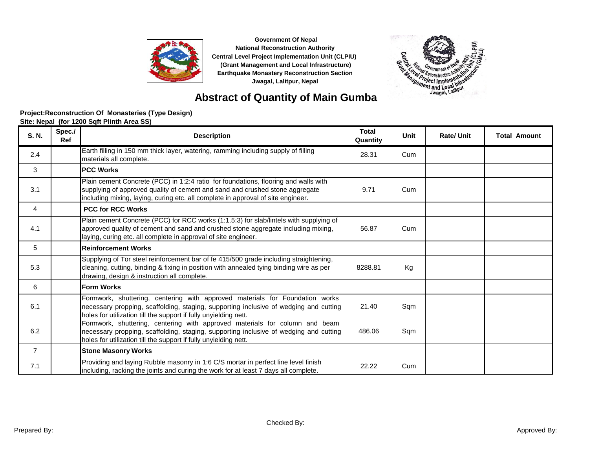



# **Abstract of Quantity of Main Gumba**

#### Site: Nepal (for 1200 Soft Plinth Area SS) **Project:Reconstruction Of Monasteries (Type Design)**

| S. N.          | Spec./<br>Ref | <b>Description</b>                                                                                                                                                                                                                                      | <b>Total</b><br>Quantity | <b>Unit</b> | <b>Rate/ Unit</b> | <b>Total Amount</b> |
|----------------|---------------|---------------------------------------------------------------------------------------------------------------------------------------------------------------------------------------------------------------------------------------------------------|--------------------------|-------------|-------------------|---------------------|
| 2.4            |               | Earth filling in 150 mm thick layer, watering, ramming including supply of filling<br>materials all complete.                                                                                                                                           | 28.31                    | Cum         |                   |                     |
| 3              |               | <b>PCC Works</b>                                                                                                                                                                                                                                        |                          |             |                   |                     |
| 3.1            |               | Plain cement Concrete (PCC) in 1:2:4 ratio for foundations, flooring and walls with<br>supplying of approved quality of cement and sand and crushed stone aggregate<br>including mixing, laying, curing etc. all complete in approval of site engineer. | 9.71                     | Cum         |                   |                     |
| 4              |               | <b>PCC for RCC Works</b>                                                                                                                                                                                                                                |                          |             |                   |                     |
| 4.1            |               | Plain cement Concrete (PCC) for RCC works (1:1.5:3) for slab/lintels with supplying of<br>approved quality of cement and sand and crushed stone aggregate including mixing,<br>laying, curing etc. all complete in approval of site engineer.           | 56.87                    | Cum         |                   |                     |
| 5              |               | <b>Reinforcement Works</b>                                                                                                                                                                                                                              |                          |             |                   |                     |
| 5.3            |               | Supplying of Tor steel reinforcement bar of fe 415/500 grade including straightening,<br>cleaning, cutting, binding & fixing in position with annealed tying binding wire as per<br>drawing, design & instruction all complete.                         | 8288.81                  | Kg          |                   |                     |
| 6              |               | <b>Form Works</b>                                                                                                                                                                                                                                       |                          |             |                   |                     |
| 6.1            |               | Formwork, shuttering, centering with approved materials for Foundation works<br>necessary propping, scaffolding, staging, supporting inclusive of wedging and cutting<br>holes for utilization till the support if fully unyielding nett.               | 21.40                    | Sqm         |                   |                     |
| 6.2            |               | Formwork, shuttering, centering with approved materials for column and beam<br>necessary propping, scaffolding, staging, supporting inclusive of wedging and cutting<br>holes for utilization till the support if fully unyielding nett.                | 486.06                   | Sqm         |                   |                     |
| $\overline{7}$ |               | <b>Stone Masonry Works</b>                                                                                                                                                                                                                              |                          |             |                   |                     |
| 7.1            |               | Providing and laying Rubble masonry in 1:6 C/S mortar in perfect line level finish<br>including, racking the joints and curing the work for at least 7 days all complete.                                                                               | 22.22                    | Cum         |                   |                     |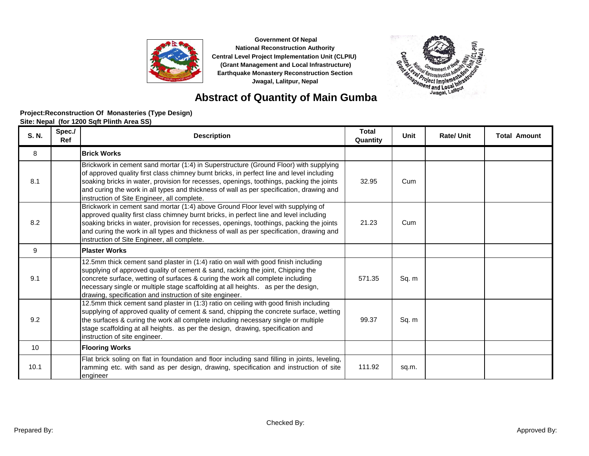



### **Abstract of Quantity of Main Gumba**

| Site: Nepal (for 1200 Sqft Plinth Area SS) |  |  |  |  |
|--------------------------------------------|--|--|--|--|
|--------------------------------------------|--|--|--|--|

| S. N. | Spec./<br>Ref | <b>Description</b>                                                                                                                                                                                                                                                                                                                                                                                                        | <b>Total</b><br>Quantity | Unit  | <b>Rate/Unit</b> | <b>Total Amount</b> |
|-------|---------------|---------------------------------------------------------------------------------------------------------------------------------------------------------------------------------------------------------------------------------------------------------------------------------------------------------------------------------------------------------------------------------------------------------------------------|--------------------------|-------|------------------|---------------------|
| 8     |               | <b>Brick Works</b>                                                                                                                                                                                                                                                                                                                                                                                                        |                          |       |                  |                     |
| 8.1   |               | Brickwork in cement sand mortar (1:4) in Superstructure (Ground Floor) with supplying<br>of approved quality first class chimney burnt bricks, in perfect line and level including<br>soaking bricks in water, provision for recesses, openings, toothings, packing the joints<br>and curing the work in all types and thickness of wall as per specification, drawing and<br>instruction of Site Engineer, all complete. | 32.95                    | Cum   |                  |                     |
| 8.2   |               | Brickwork in cement sand mortar (1:4) above Ground Floor level with supplying of<br>approved quality first class chimney burnt bricks, in perfect line and level including<br>soaking bricks in water, provision for recesses, openings, toothings, packing the joints<br>and curing the work in all types and thickness of wall as per specification, drawing and<br>instruction of Site Engineer, all complete.         | 21.23                    | Cum   |                  |                     |
| 9     |               | <b>Plaster Works</b>                                                                                                                                                                                                                                                                                                                                                                                                      |                          |       |                  |                     |
| 9.1   |               | 12.5mm thick cement sand plaster in (1:4) ratio on wall with good finish including<br>supplying of approved quality of cement & sand, racking the joint, Chipping the<br>concrete surface, wetting of surfaces & curing the work all complete including<br>necessary single or multiple stage scaffolding at all heights. as per the design,<br>drawing, specification and instruction of site engineer.                  | 571.35                   | Sq. m |                  |                     |
| 9.2   |               | 12.5mm thick cement sand plaster in (1:3) ratio on ceiling with good finish including<br>supplying of approved quality of cement & sand, chipping the concrete surface, wetting<br>the surfaces & curing the work all complete including necessary single or multiple<br>stage scaffolding at all heights. as per the design, drawing, specification and<br>instruction of site engineer.                                 | 99.37                    | Sq. m |                  |                     |
| 10    |               | <b>Flooring Works</b>                                                                                                                                                                                                                                                                                                                                                                                                     |                          |       |                  |                     |
| 10.1  |               | Flat brick soling on flat in foundation and floor including sand filling in joints, leveling,<br>ramming etc. with sand as per design, drawing, specification and instruction of site<br>engineer                                                                                                                                                                                                                         | 111.92                   | sq.m. |                  |                     |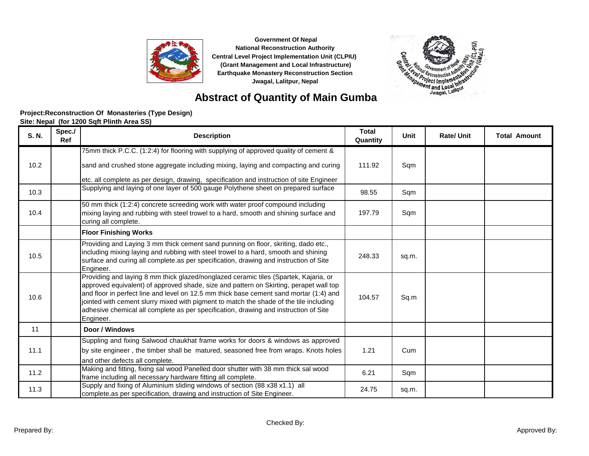



### **Abstract of Quantity of Main Gumba**

| S. N. | Spec./<br>Ref | <b>Description</b>                                                                                                                                                                                                                                                                                                                                                                                                                                                      | <b>Total</b><br>Quantity | <b>Unit</b> | <b>Rate/Unit</b> | <b>Total Amount</b> |
|-------|---------------|-------------------------------------------------------------------------------------------------------------------------------------------------------------------------------------------------------------------------------------------------------------------------------------------------------------------------------------------------------------------------------------------------------------------------------------------------------------------------|--------------------------|-------------|------------------|---------------------|
|       |               | 75mm thick P.C.C. (1:2:4) for flooring with supplying of approved quality of cement &                                                                                                                                                                                                                                                                                                                                                                                   |                          |             |                  |                     |
| 10.2  |               | sand and crushed stone aggregate including mixing, laying and compacting and curing                                                                                                                                                                                                                                                                                                                                                                                     | 111.92                   | Sqm         |                  |                     |
|       |               | etc. all complete as per design, drawing, specification and instruction of site Engineer                                                                                                                                                                                                                                                                                                                                                                                |                          |             |                  |                     |
| 10.3  |               | Supplying and laying of one layer of 500 gauge Polythene sheet on prepared surface                                                                                                                                                                                                                                                                                                                                                                                      | 98.55                    | Sqm         |                  |                     |
| 10.4  |               | 50 mm thick (1:2:4) concrete screeding work with water proof compound including<br>mixing laying and rubbing with steel trowel to a hard, smooth and shining surface and<br>curing all complete.                                                                                                                                                                                                                                                                        | 197.79                   | Sqm         |                  |                     |
|       |               | <b>Floor Finishing Works</b>                                                                                                                                                                                                                                                                                                                                                                                                                                            |                          |             |                  |                     |
| 10.5  |               | Providing and Laying 3 mm thick cement sand punning on floor, skriting, dado etc.,<br>including mixing laying and rubbing with steel trowel to a hard, smooth and shining<br>surface and curing all complete as per specification, drawing and instruction of Site<br>Engineer.                                                                                                                                                                                         | 248.33                   | sq.m.       |                  |                     |
| 10.6  |               | Providing and laying 8 mm thick glazed/nonglazed ceramic tiles (Spartek, Kajaria, or<br>approved equivalent) of approved shade, size and pattern on Skirting, perapet wall top<br>and floor in perfect line and level on 12.5 mm thick base cement sand mortar (1:4) and<br>jointed with cement slurry mixed with pigment to match the shade of the tile including<br>adhesive chemical all complete as per specification, drawing and instruction of Site<br>Engineer. | 104.57                   | Sq.m        |                  |                     |
| 11    |               | Door / Windows                                                                                                                                                                                                                                                                                                                                                                                                                                                          |                          |             |                  |                     |
| 11.1  |               | Suppling and fixing Salwood chaukhat frame works for doors & windows as approved<br>by site engineer, the timber shall be matured, seasoned free from wraps. Knots holes<br>and other defects all complete.                                                                                                                                                                                                                                                             | 1.21                     | Cum         |                  |                     |
| 11.2  |               | Making and fitting, fixing sal wood Panelled door shutter with 38 mm thick sal wood<br>frame including all necessary hardware fitting all complete.                                                                                                                                                                                                                                                                                                                     | 6.21                     | Sqm         |                  |                     |
| 11.3  |               | Supply and fixing of Aluminium sliding windows of section (88 x38 x1.1) all<br>complete as per specification, drawing and instruction of Site Engineer.                                                                                                                                                                                                                                                                                                                 | 24.75                    | sq.m.       |                  |                     |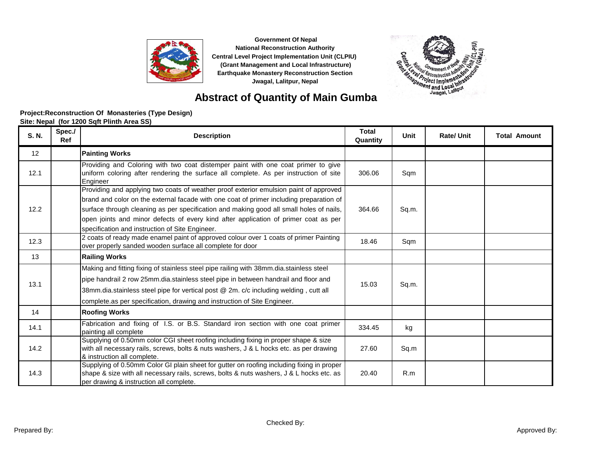



### **Abstract of Quantity of Main Gumba**

| S. N. | Spec./<br><b>Ref</b> | <b>Description</b>                                                                                                                                                                                                                                                                                                                                                                                                    | <b>Total</b><br>Quantity | <b>Unit</b> | <b>Rate/Unit</b> | <b>Total Amount</b> |
|-------|----------------------|-----------------------------------------------------------------------------------------------------------------------------------------------------------------------------------------------------------------------------------------------------------------------------------------------------------------------------------------------------------------------------------------------------------------------|--------------------------|-------------|------------------|---------------------|
| 12    |                      | <b>Painting Works</b>                                                                                                                                                                                                                                                                                                                                                                                                 |                          |             |                  |                     |
| 12.1  |                      | Providing and Coloring with two coat distemper paint with one coat primer to give<br>uniform coloring after rendering the surface all complete. As per instruction of site<br>Engineer                                                                                                                                                                                                                                | 306.06                   | Sqm         |                  |                     |
| 12.2  |                      | Providing and applying two coats of weather proof exterior emulsion paint of approved<br>brand and color on the external facade with one coat of primer including preparation of<br>surface through cleaning as per specification and making good all small holes of nails,<br>open joints and minor defects of every kind after application of primer coat as per<br>specification and instruction of Site Engineer. | 364.66                   | Sq.m.       |                  |                     |
| 12.3  |                      | 2 coats of ready made enamel paint of approved colour over 1 coats of primer Painting<br>over properly sanded wooden surface all complete for door                                                                                                                                                                                                                                                                    | 18.46                    | Sqm         |                  |                     |
| 13    |                      | <b>Railing Works</b>                                                                                                                                                                                                                                                                                                                                                                                                  |                          |             |                  |                     |
| 13.1  |                      | Making and fitting fixing of stainless steel pipe railing with 38mm.dia.stainless steel<br>pipe handrail 2 row 25mm.dia.stainless steel pipe in between handrail and floor and<br>38mm.dia.stainless steel pipe for vertical post @ 2m. c/c including welding, cutt all<br>complete.as per specification, drawing and instruction of Site Engineer.                                                                   | 15.03                    | Sq.m.       |                  |                     |
| 14    |                      | <b>Roofing Works</b>                                                                                                                                                                                                                                                                                                                                                                                                  |                          |             |                  |                     |
| 14.1  |                      | Fabrication and fixing of I.S. or B.S. Standard iron section with one coat primer<br>painting all complete                                                                                                                                                                                                                                                                                                            | 334.45                   | kg          |                  |                     |
| 14.2  |                      | Supplying of 0.50mm color CGI sheet roofing including fixing in proper shape & size<br>with all necessary rails, screws, bolts & nuts washers, J & L hocks etc. as per drawing<br>& instruction all complete.                                                                                                                                                                                                         | 27.60                    | Sq.m        |                  |                     |
| 14.3  |                      | Supplying of 0.50mm Color GI plain sheet for gutter on roofing including fixing in proper<br>shape & size with all necessary rails, screws, bolts & nuts washers, J & L hocks etc. as<br>per drawing & instruction all complete.                                                                                                                                                                                      | 20.40                    | R.m         |                  |                     |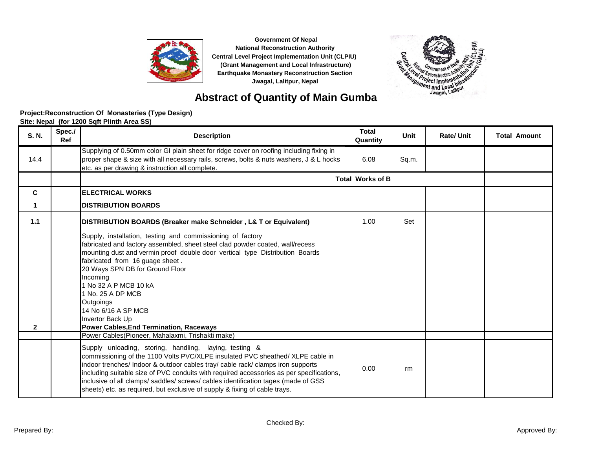



### **Abstract of Quantity of Main Gumba**

|  | Site: Nepal (for 1200 Sqft Plinth Area SS) |  |
|--|--------------------------------------------|--|
|--|--------------------------------------------|--|

| S. N.        | Spec./<br>Ref | <b>Description</b>                                                                                                                                                                                                                                                                                                                                                                                                                                                                                                                              | <b>Total</b><br>Quantity | Unit  | <b>Rate/Unit</b> | <b>Total Amount</b> |
|--------------|---------------|-------------------------------------------------------------------------------------------------------------------------------------------------------------------------------------------------------------------------------------------------------------------------------------------------------------------------------------------------------------------------------------------------------------------------------------------------------------------------------------------------------------------------------------------------|--------------------------|-------|------------------|---------------------|
| 14.4         |               | Supplying of 0.50mm color GI plain sheet for ridge cover on roofing including fixing in<br>proper shape & size with all necessary rails, screws, bolts & nuts washers, J & L hocks<br>etc. as per drawing & instruction all complete.                                                                                                                                                                                                                                                                                                           | 6.08                     | Sq.m. |                  |                     |
|              |               |                                                                                                                                                                                                                                                                                                                                                                                                                                                                                                                                                 | <b>Total Works of B</b>  |       |                  |                     |
| C            |               | <b>ELECTRICAL WORKS</b>                                                                                                                                                                                                                                                                                                                                                                                                                                                                                                                         |                          |       |                  |                     |
| 1            |               | <b>DISTRIBUTION BOARDS</b>                                                                                                                                                                                                                                                                                                                                                                                                                                                                                                                      |                          |       |                  |                     |
| 1.1          |               | DISTRIBUTION BOARDS (Breaker make Schneider, L& T or Equivalent)                                                                                                                                                                                                                                                                                                                                                                                                                                                                                | 1.00                     | Set   |                  |                     |
|              |               | Supply, installation, testing and commissioning of factory<br>fabricated and factory assembled, sheet steel clad powder coated, wall/recess<br>mounting dust and vermin proof double door vertical type Distribution Boards<br>fabricated from 16 guage sheet.<br>20 Ways SPN DB for Ground Floor<br>Incoming<br>1 No 32 A P MCB 10 kA<br>1 No. 25 A DP MCB<br><b>Outgoings</b><br>14 No 6/16 A SP MCB<br>Invertor Back Up                                                                                                                      |                          |       |                  |                     |
| $\mathbf{2}$ |               | <b>Power Cables, End Termination, Raceways</b>                                                                                                                                                                                                                                                                                                                                                                                                                                                                                                  |                          |       |                  |                     |
|              |               | Power Cables(Pioneer, Mahalaxmi, Trishakti make)<br>Supply unloading, storing, handling, laying, testing &<br>commissioning of the 1100 Volts PVC/XLPE insulated PVC sheathed/ XLPE cable in<br>indoor trenches/ Indoor & outdoor cables tray/ cable rack/ clamps iron supports<br>including suitable size of PVC conduits with required accessories as per specifications,<br>inclusive of all clamps/ saddles/ screws/ cables identification tages (made of GSS<br>sheets) etc. as required, but exclusive of supply & fixing of cable trays. | 0.00                     | rm    |                  |                     |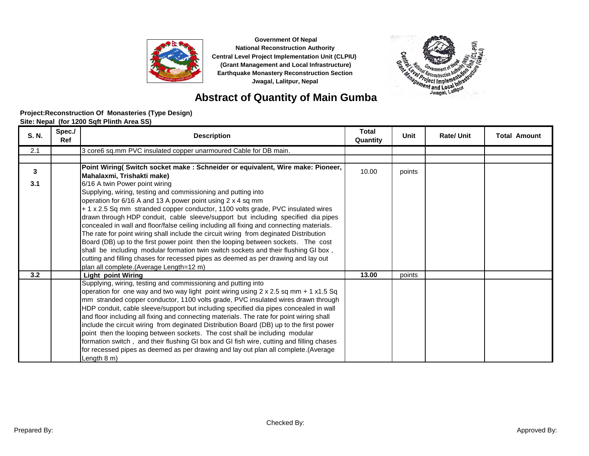



# **Abstract of Quantity of Main Gumba**

#### **Project:Reconstruction Of Monasteries (Type Design)**

**Site: Nepal (for 1200 Sqft Plinth Area SS)**

| S. N. | Spec./<br>Ref | <b>Description</b>                                                                          | <b>Total</b><br>Quantity | <b>Unit</b> | <b>Rate/Unit</b> | <b>Total Amount</b> |
|-------|---------------|---------------------------------------------------------------------------------------------|--------------------------|-------------|------------------|---------------------|
| 2.1   |               | 3 core6 sq.mm PVC insulated copper unarmoured Cable for DB main.                            |                          |             |                  |                     |
|       |               |                                                                                             |                          |             |                  |                     |
| 3     |               | Point Wiring( Switch socket make : Schneider or equivalent, Wire make: Pioneer,             | 10.00                    | points      |                  |                     |
|       |               | Mahalaxmi, Trishakti make)                                                                  |                          |             |                  |                     |
| 3.1   |               | 6/16 A twin Power point wiring                                                              |                          |             |                  |                     |
|       |               | Supplying, wiring, testing and commissioning and putting into                               |                          |             |                  |                     |
|       |               | operation for 6/16 A and 13 A power point using 2 x 4 sq mm                                 |                          |             |                  |                     |
|       |               | + 1 x 2.5 Sq mm stranded copper conductor, 1100 volts grade, PVC insulated wires            |                          |             |                  |                     |
|       |               | drawn through HDP conduit, cable sleeve/support but including specified dia pipes           |                          |             |                  |                     |
|       |               | concealed in wall and floor/false ceiling including all fixing and connecting materials.    |                          |             |                  |                     |
|       |               | The rate for point wiring shall include the circuit wiring from deginated Distribution      |                          |             |                  |                     |
|       |               | Board (DB) up to the first power point then the looping between sockets. The cost           |                          |             |                  |                     |
|       |               | shall be including modular formation twin switch sockets and their flushing GI box,         |                          |             |                  |                     |
|       |               | cutting and filling chases for recessed pipes as deemed as per drawing and lay out          |                          |             |                  |                     |
|       |               | plan all complete.(Average Length=12 m)                                                     |                          |             |                  |                     |
| 3.2   |               | Light point Wiring                                                                          | 13.00                    | points      |                  |                     |
|       |               | Supplying, wiring, testing and commissioning and putting into                               |                          |             |                  |                     |
|       |               | operation for one way and two way light point wiring using $2 \times 2.5$ sq mm + 1 x1.5 Sq |                          |             |                  |                     |
|       |               | mm stranded copper conductor, 1100 volts grade, PVC insulated wires drawn through           |                          |             |                  |                     |
|       |               | HDP conduit, cable sleeve/support but including specified dia pipes concealed in wall       |                          |             |                  |                     |
|       |               | and floor including all fixing and connecting materials. The rate for point wiring shall    |                          |             |                  |                     |
|       |               | include the circuit wiring from deginated Distribution Board (DB) up to the first power     |                          |             |                  |                     |
|       |               | point then the looping between sockets. The cost shall be including modular                 |                          |             |                  |                     |
|       |               | formation switch, and their flushing GI box and GI fish wire, cutting and filling chases    |                          |             |                  |                     |
|       |               | for recessed pipes as deemed as per drawing and lay out plan all complete.(Average          |                          |             |                  |                     |
|       |               | Length 8 m)                                                                                 |                          |             |                  |                     |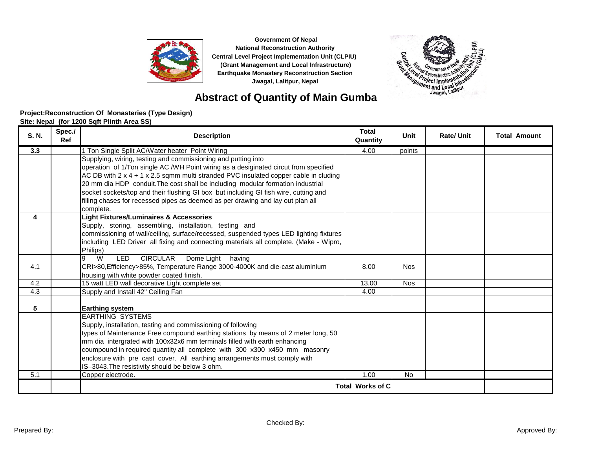



# **Abstract of Quantity of Main Gumba**

#### **Project:Reconstruction Of Monasteries (Type Design)**

**Site: Nepal (for 1200 Sqft Plinth Area SS)**

| S. N. | Spec./<br>Ref | <b>Description</b>                                                                                                                                                              | <b>Total</b><br>Quantity | Unit       | <b>Rate/Unit</b> | <b>Total Amount</b> |
|-------|---------------|---------------------------------------------------------------------------------------------------------------------------------------------------------------------------------|--------------------------|------------|------------------|---------------------|
| 3.3   |               | 1 Ton Single Split AC/Water heater Point Wiring                                                                                                                                 | 4.00                     | points     |                  |                     |
|       |               | Supplying, wiring, testing and commissioning and putting into<br>operation of 1/Ton single AC /WH Point wiring as a desiginated circut from specified                           |                          |            |                  |                     |
|       |               | AC DB with $2 \times 4 + 1 \times 2.5$ sqmm multi stranded PVC insulated copper cable in cluding                                                                                |                          |            |                  |                     |
|       |               | 20 mm dia HDP conduit. The cost shall be including modular formation industrial                                                                                                 |                          |            |                  |                     |
|       |               | socket sockets/top and their flushing GI box but including GI fish wire, cutting and                                                                                            |                          |            |                  |                     |
|       |               | filling chases for recessed pipes as deemed as per drawing and lay out plan all<br>complete.                                                                                    |                          |            |                  |                     |
| 4     |               | <b>Light Fixtures/Luminaires &amp; Accessories</b>                                                                                                                              |                          |            |                  |                     |
|       |               | Supply, storing, assembling, installation, testing and                                                                                                                          |                          |            |                  |                     |
|       |               | commissioning of wall/ceiling, surface/recessed, suspended types LED lighting fixtures<br>including LED Driver all fixing and connecting materials all complete. (Make - Wipro, |                          |            |                  |                     |
|       |               | Philips)                                                                                                                                                                        |                          |            |                  |                     |
|       |               | W<br><b>LED</b><br><b>CIRCULAR</b><br>9<br>Dome Light having                                                                                                                    |                          |            |                  |                     |
| 4.1   |               | CRI>80, Efficiency>85%, Temperature Range 3000-4000K and die-cast aluminium<br>housing with white powder coated finish.                                                         | 8.00                     | <b>Nos</b> |                  |                     |
| 4.2   |               | 15 watt LED wall decorative Light complete set                                                                                                                                  | 13.00                    | <b>Nos</b> |                  |                     |
| 4.3   |               | Supply and Install 42" Ceiling Fan                                                                                                                                              | 4.00                     |            |                  |                     |
|       |               |                                                                                                                                                                                 |                          |            |                  |                     |
| 5     |               | <b>Earthing system</b>                                                                                                                                                          |                          |            |                  |                     |
|       |               | <b>EARTHING SYSTEMS</b><br>Supply, installation, testing and commissioning of following                                                                                         |                          |            |                  |                     |
|       |               | types of Maintenance Free compound earthing stations by means of 2 meter long, 50                                                                                               |                          |            |                  |                     |
|       |               | mm dia intergrated with 100x32x6 mm terminals filled with earth enhancing                                                                                                       |                          |            |                  |                     |
|       |               | coumpound in required quantity all complete with 300 x300 x450 mm masonry                                                                                                       |                          |            |                  |                     |
|       |               | enclosure with pre cast cover. All earthing arrangements must comply with                                                                                                       |                          |            |                  |                     |
|       |               | IS-3043. The resistivity should be below 3 ohm.                                                                                                                                 |                          |            |                  |                     |
| 5.1   |               | Copper electrode.                                                                                                                                                               | 1.00                     | <b>No</b>  |                  |                     |
|       |               |                                                                                                                                                                                 | <b>Total Works of C</b>  |            |                  |                     |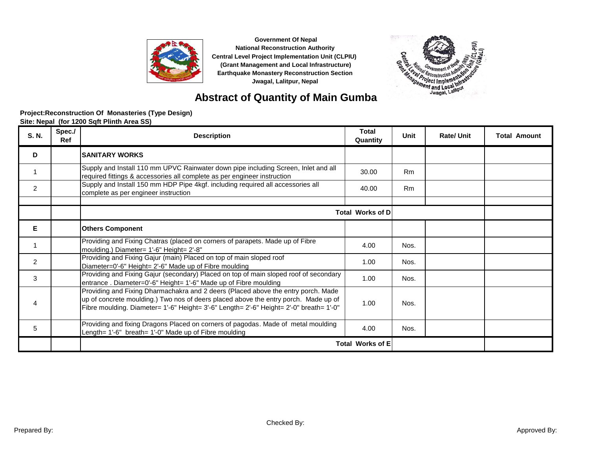



# **Abstract of Quantity of Main Gumba**

| S. N.          | Spec./<br>Ref | <b>Description</b>                                                                                                                                                                                                                                                  | <b>Total</b><br>Quantity | Unit      | <b>Rate/Unit</b> | <b>Total Amount</b> |  |
|----------------|---------------|---------------------------------------------------------------------------------------------------------------------------------------------------------------------------------------------------------------------------------------------------------------------|--------------------------|-----------|------------------|---------------------|--|
| D              |               | <b>SANITARY WORKS</b>                                                                                                                                                                                                                                               |                          |           |                  |                     |  |
|                |               | Supply and Install 110 mm UPVC Rainwater down pipe including Screen, Inlet and all<br>required fittings & accessories all complete as per engineer instruction                                                                                                      | 30.00                    | Rm        |                  |                     |  |
| $\overline{2}$ |               | Supply and Install 150 mm HDP Pipe 4kgf. including required all accessories all<br>complete as per engineer instruction                                                                                                                                             | 40.00                    | <b>Rm</b> |                  |                     |  |
|                |               | <b>Total Works of D</b>                                                                                                                                                                                                                                             |                          |           |                  |                     |  |
| Е              |               | <b>Others Component</b>                                                                                                                                                                                                                                             |                          |           |                  |                     |  |
|                |               | Providing and Fixing Chatras (placed on corners of parapets. Made up of Fibre<br>moulding.) Diameter= 1'-6" Height= 2'-8"                                                                                                                                           | 4.00                     | Nos.      |                  |                     |  |
| 2              |               | Providing and Fixing Gajur (main) Placed on top of main sloped roof<br>Diameter=0'-6" Height= 2'-6" Made up of Fibre moulding                                                                                                                                       | 1.00                     | Nos.      |                  |                     |  |
| 3              |               | Providing and Fixing Gajur (secondary) Placed on top of main sloped roof of secondary<br>entrance. Diameter=0'-6" Height= 1'-6" Made up of Fibre moulding                                                                                                           | 1.00                     | Nos.      |                  |                     |  |
| 4              |               | Providing and Fixing Dharmachakra and 2 deers (Placed above the entry porch. Made<br>up of concrete moulding.) Two nos of deers placed above the entry porch. Made up of<br>Fibre moulding. Diameter= 1'-6" Height= 3'-6" Length= 2'-6" Height= 2'-0" breath= 1'-0" | 1.00                     | Nos.      |                  |                     |  |
| 5              |               | Providing and fixing Dragons Placed on corners of pagodas. Made of metal moulding<br>Length= 1'-6" breath= 1'-0" Made up of Fibre moulding                                                                                                                          | 4.00                     | Nos.      |                  |                     |  |
|                |               | <b>Total Works of E</b>                                                                                                                                                                                                                                             |                          |           |                  |                     |  |